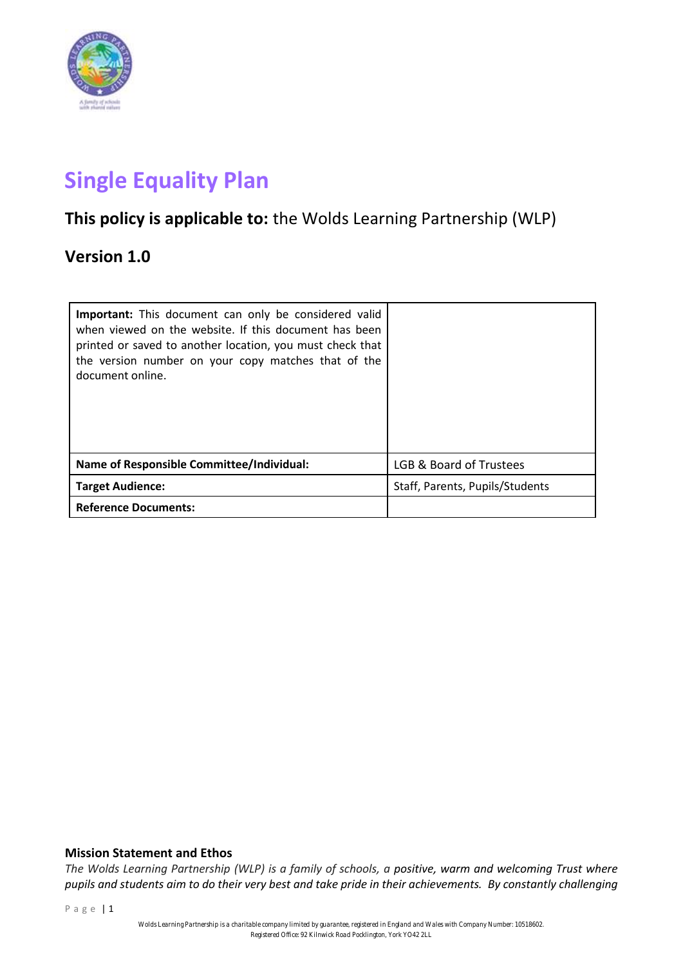

# **Single Equality Plan**

# **This policy is applicable to:** the Wolds Learning Partnership (WLP)

# **Version 1.0**

| <b>Important:</b> This document can only be considered valid<br>when viewed on the website. If this document has been<br>printed or saved to another location, you must check that<br>the version number on your copy matches that of the<br>document online. |                                 |
|---------------------------------------------------------------------------------------------------------------------------------------------------------------------------------------------------------------------------------------------------------------|---------------------------------|
| <b>Name of Responsible Committee/Individual:</b>                                                                                                                                                                                                              | LGB & Board of Trustees         |
| <b>Target Audience:</b>                                                                                                                                                                                                                                       | Staff, Parents, Pupils/Students |
| <b>Reference Documents:</b>                                                                                                                                                                                                                                   |                                 |

# **Mission Statement and Ethos**

*The Wolds Learning Partnership (WLP) is a family of schools, a positive, warm and welcoming Trust where pupils and students aim to do their very best and take pride in their achievements. By constantly challenging*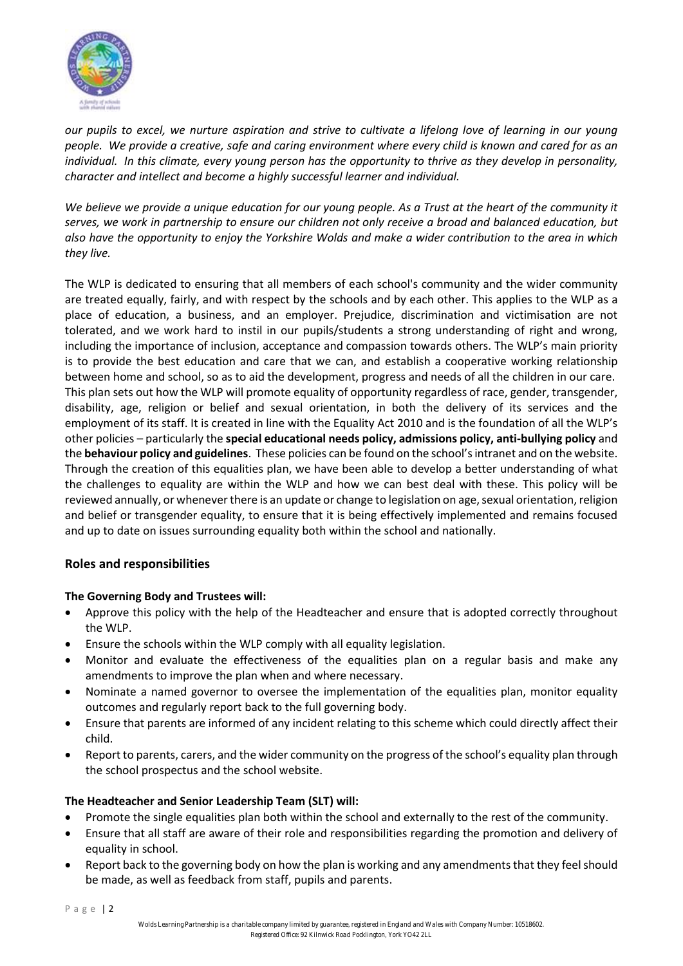

*our pupils to excel, we nurture aspiration and strive to cultivate a lifelong love of learning in our young people. We provide a creative, safe and caring environment where every child is known and cared for as an individual. In this climate, every young person has the opportunity to thrive as they develop in personality, character and intellect and become a highly successful learner and individual.*

*We believe we provide a unique education for our young people. As a Trust at the heart of the community it serves, we work in partnership to ensure our children not only receive a broad and balanced education, but also have the opportunity to enjoy the Yorkshire Wolds and make a wider contribution to the area in which they live.*

The WLP is dedicated to ensuring that all members of each school's community and the wider community are treated equally, fairly, and with respect by the schools and by each other. This applies to the WLP as a place of education, a business, and an employer. Prejudice, discrimination and victimisation are not tolerated, and we work hard to instil in our pupils/students a strong understanding of right and wrong, including the importance of inclusion, acceptance and compassion towards others. The WLP's main priority is to provide the best education and care that we can, and establish a cooperative working relationship between home and school, so as to aid the development, progress and needs of all the children in our care. This plan sets out how the WLP will promote equality of opportunity regardless of race, gender, transgender, disability, age, religion or belief and sexual orientation, in both the delivery of its services and the employment of its staff. It is created in line with the Equality Act 2010 and is the foundation of all the WLP's other policies – particularly the **special educational needs policy, admissions policy, anti-bullying policy** and the **behaviour policy and guidelines**. These policies can be found on the school's intranet and on the website. Through the creation of this equalities plan, we have been able to develop a better understanding of what the challenges to equality are within the WLP and how we can best deal with these. This policy will be reviewed annually, or whenever there is an update or change to legislation on age, sexual orientation, religion and belief or transgender equality, to ensure that it is being effectively implemented and remains focused and up to date on issues surrounding equality both within the school and nationally.

# **Roles and responsibilities**

# **The Governing Body and Trustees will:**

- Approve this policy with the help of the Headteacher and ensure that is adopted correctly throughout the WLP.
- Ensure the schools within the WLP comply with all equality legislation.
- Monitor and evaluate the effectiveness of the equalities plan on a regular basis and make any amendments to improve the plan when and where necessary.
- Nominate a named governor to oversee the implementation of the equalities plan, monitor equality outcomes and regularly report back to the full governing body.
- Ensure that parents are informed of any incident relating to this scheme which could directly affect their child.
- Report to parents, carers, and the wider community on the progress of the school's equality plan through the school prospectus and the school website.

# **The Headteacher and Senior Leadership Team (SLT) will:**

- Promote the single equalities plan both within the school and externally to the rest of the community.
- Ensure that all staff are aware of their role and responsibilities regarding the promotion and delivery of equality in school.
- Report back to the governing body on how the plan is working and any amendments that they feel should be made, as well as feedback from staff, pupils and parents.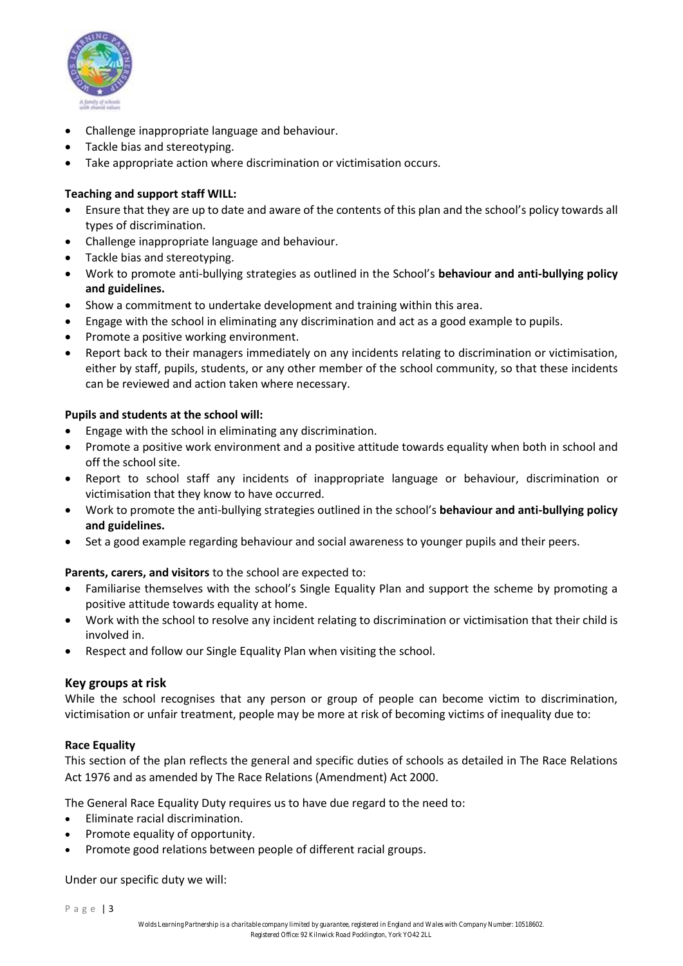

- Challenge inappropriate language and behaviour.
- Tackle bias and stereotyping.
- Take appropriate action where discrimination or victimisation occurs.

# **Teaching and support staff WILL:**

- Ensure that they are up to date and aware of the contents of this plan and the school's policy towards all types of discrimination.
- Challenge inappropriate language and behaviour.
- Tackle bias and stereotyping.
- Work to promote anti-bullying strategies as outlined in the School's **behaviour and anti-bullying policy and guidelines.**
- Show a commitment to undertake development and training within this area.
- Engage with the school in eliminating any discrimination and act as a good example to pupils.
- Promote a positive working environment.
- Report back to their managers immediately on any incidents relating to discrimination or victimisation, either by staff, pupils, students, or any other member of the school community, so that these incidents can be reviewed and action taken where necessary.

# **Pupils and students at the school will:**

- Engage with the school in eliminating any discrimination.
- Promote a positive work environment and a positive attitude towards equality when both in school and off the school site.
- Report to school staff any incidents of inappropriate language or behaviour, discrimination or victimisation that they know to have occurred.
- Work to promote the anti-bullying strategies outlined in the school's **behaviour and anti-bullying policy and guidelines.**
- Set a good example regarding behaviour and social awareness to younger pupils and their peers.

# **Parents, carers, and visitors** to the school are expected to:

- Familiarise themselves with the school's Single Equality Plan and support the scheme by promoting a positive attitude towards equality at home.
- Work with the school to resolve any incident relating to discrimination or victimisation that their child is involved in.
- Respect and follow our Single Equality Plan when visiting the school.

# **Key groups at risk**

While the school recognises that any person or group of people can become victim to discrimination, victimisation or unfair treatment, people may be more at risk of becoming victims of inequality due to:

#### **Race Equality**

This section of the plan reflects the general and specific duties of schools as detailed in The Race Relations Act 1976 and as amended by The Race Relations (Amendment) Act 2000.

The General Race Equality Duty requires us to have due regard to the need to:

- Eliminate racial discrimination.
- Promote equality of opportunity.
- Promote good relations between people of different racial groups.

Under our specific duty we will: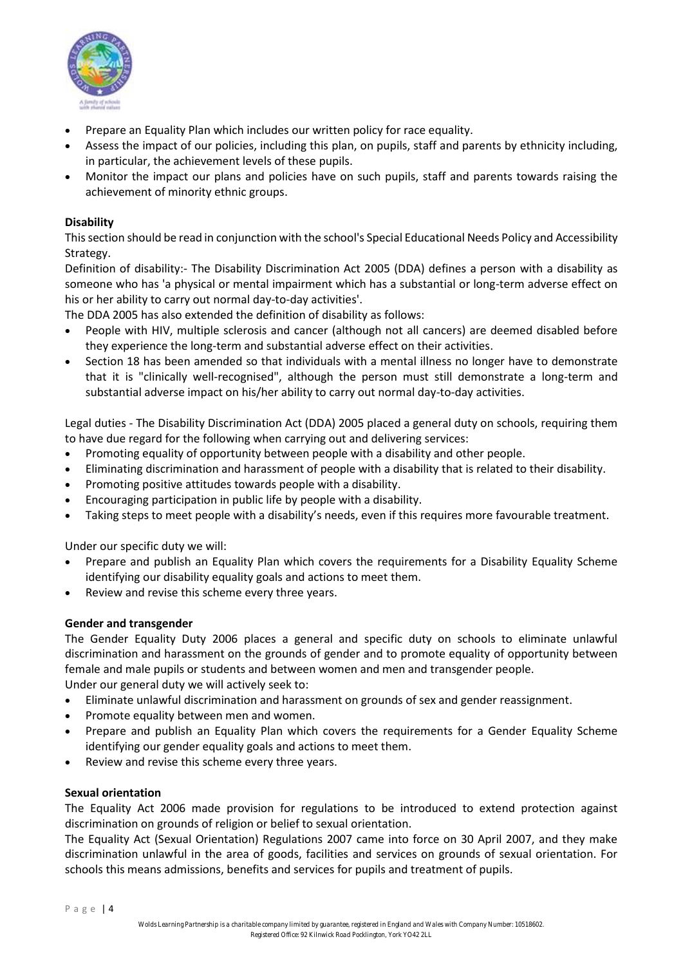

- Prepare an Equality Plan which includes our written policy for race equality.
- Assess the impact of our policies, including this plan, on pupils, staff and parents by ethnicity including, in particular, the achievement levels of these pupils.
- Monitor the impact our plans and policies have on such pupils, staff and parents towards raising the achievement of minority ethnic groups.

# **Disability**

This section should be read in conjunction with the school's Special Educational Needs Policy and Accessibility Strategy.

Definition of disability:- The Disability Discrimination Act 2005 (DDA) defines a person with a disability as someone who has 'a physical or mental impairment which has a substantial or long-term adverse effect on his or her ability to carry out normal day-to-day activities'.

The DDA 2005 has also extended the definition of disability as follows:

- People with HIV, multiple sclerosis and cancer (although not all cancers) are deemed disabled before they experience the long-term and substantial adverse effect on their activities.
- Section 18 has been amended so that individuals with a mental illness no longer have to demonstrate that it is "clinically well-recognised", although the person must still demonstrate a long-term and substantial adverse impact on his/her ability to carry out normal day-to-day activities.

Legal duties - The Disability Discrimination Act (DDA) 2005 placed a general duty on schools, requiring them to have due regard for the following when carrying out and delivering services:

- Promoting equality of opportunity between people with a disability and other people.
- Eliminating discrimination and harassment of people with a disability that is related to their disability.
- Promoting positive attitudes towards people with a disability.
- Encouraging participation in public life by people with a disability.
- Taking steps to meet people with a disability's needs, even if this requires more favourable treatment.

Under our specific duty we will:

- Prepare and publish an Equality Plan which covers the requirements for a Disability Equality Scheme identifying our disability equality goals and actions to meet them.
- Review and revise this scheme every three years.

#### **Gender and transgender**

The Gender Equality Duty 2006 places a general and specific duty on schools to eliminate unlawful discrimination and harassment on the grounds of gender and to promote equality of opportunity between female and male pupils or students and between women and men and transgender people.

- Under our general duty we will actively seek to:
- Eliminate unlawful discrimination and harassment on grounds of sex and gender reassignment.
- Promote equality between men and women.
- Prepare and publish an Equality Plan which covers the requirements for a Gender Equality Scheme identifying our gender equality goals and actions to meet them.
- Review and revise this scheme every three years.

#### **Sexual orientation**

The Equality Act 2006 made provision for regulations to be introduced to extend protection against discrimination on grounds of religion or belief to sexual orientation.

The Equality Act (Sexual Orientation) Regulations 2007 came into force on 30 April 2007, and they make discrimination unlawful in the area of goods, facilities and services on grounds of sexual orientation. For schools this means admissions, benefits and services for pupils and treatment of pupils.

P a g e | 4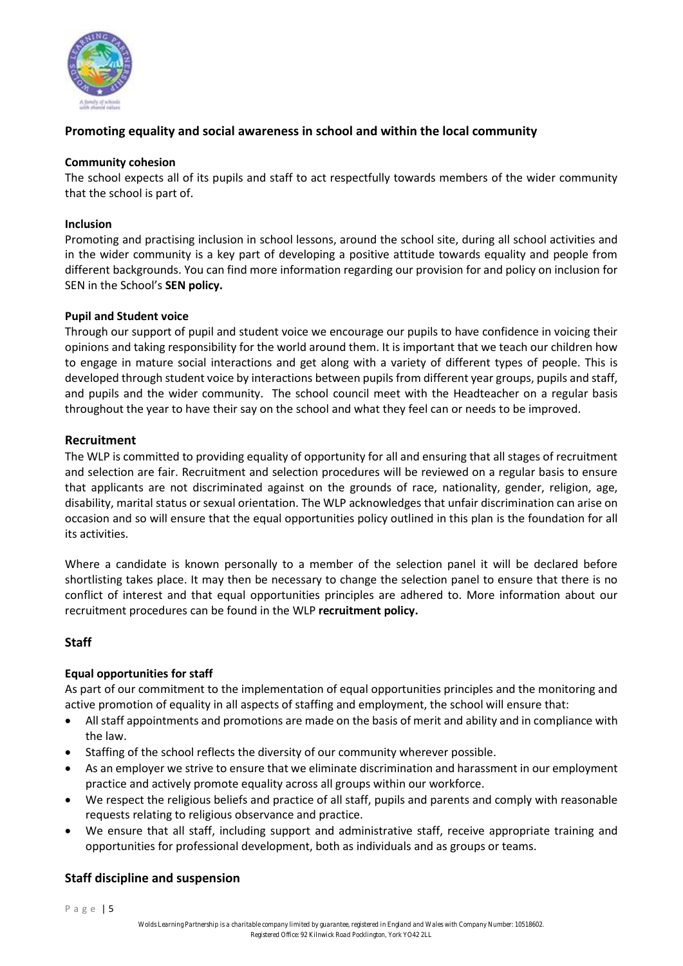

# **Promoting equality and social awareness in school and within the local community**

#### **Community cohesion**

The school expects all of its pupils and staff to act respectfully towards members of the wider community that the school is part of.

#### **Inclusion**

Promoting and practising inclusion in school lessons, around the school site, during all school activities and in the wider community is a key part of developing a positive attitude towards equality and people from different backgrounds. You can find more information regarding our provision for and policy on inclusion for SEN in the School's **SEN policy.** 

#### **Pupil and Student voice**

Through our support of pupil and student voice we encourage our pupils to have confidence in voicing their opinions and taking responsibility for the world around them. It is important that we teach our children how to engage in mature social interactions and get along with a variety of different types of people. This is developed through student voice by interactions between pupils from different year groups, pupils and staff, and pupils and the wider community. The school council meet with the Headteacher on a regular basis throughout the year to have their say on the school and what they feel can or needs to be improved.

#### **Recruitment**

The WLP is committed to providing equality of opportunity for all and ensuring that all stages of recruitment and selection are fair. Recruitment and selection procedures will be reviewed on a regular basis to ensure that applicants are not discriminated against on the grounds of race, nationality, gender, religion, age, disability, marital status or sexual orientation. The WLP acknowledges that unfair discrimination can arise on occasion and so will ensure that the equal opportunities policy outlined in this plan is the foundation for all its activities.

Where a candidate is known personally to a member of the selection panel it will be declared before shortlisting takes place. It may then be necessary to change the selection panel to ensure that there is no conflict of interest and that equal opportunities principles are adhered to. More information about our recruitment procedures can be found in the WLP **recruitment policy.**

# **Staff**

#### **Equal opportunities for staff**

As part of our commitment to the implementation of equal opportunities principles and the monitoring and active promotion of equality in all aspects of staffing and employment, the school will ensure that:

- All staff appointments and promotions are made on the basis of merit and ability and in compliance with the law.
- Staffing of the school reflects the diversity of our community wherever possible.
- As an employer we strive to ensure that we eliminate discrimination and harassment in our employment practice and actively promote equality across all groups within our workforce.
- We respect the religious beliefs and practice of all staff, pupils and parents and comply with reasonable requests relating to religious observance and practice.
- We ensure that all staff, including support and administrative staff, receive appropriate training and opportunities for professional development, both as individuals and as groups or teams.

# **Staff discipline and suspension**

P a g e | 5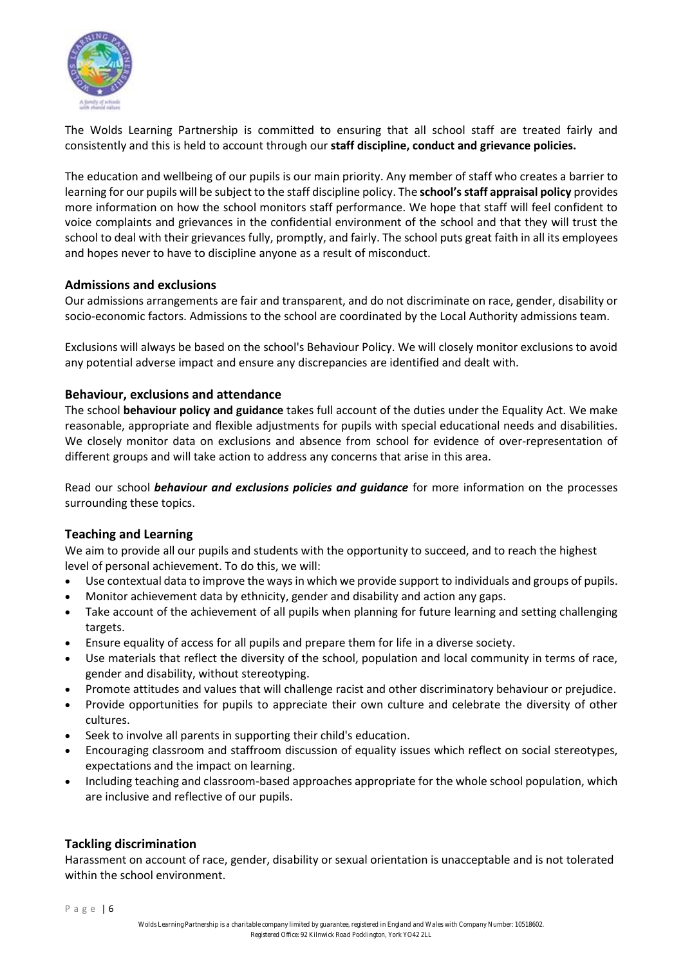

The Wolds Learning Partnership is committed to ensuring that all school staff are treated fairly and consistently and this is held to account through our **staff discipline, conduct and grievance policies.**

The education and wellbeing of our pupils is our main priority. Any member of staff who creates a barrier to learning for our pupils will be subject to the staff discipline policy. The **school's staff appraisal policy** provides more information on how the school monitors staff performance. We hope that staff will feel confident to voice complaints and grievances in the confidential environment of the school and that they will trust the school to deal with their grievances fully, promptly, and fairly. The school puts great faith in all its employees and hopes never to have to discipline anyone as a result of misconduct.

#### **Admissions and exclusions**

Our admissions arrangements are fair and transparent, and do not discriminate on race, gender, disability or socio-economic factors. Admissions to the school are coordinated by the Local Authority admissions team.

Exclusions will always be based on the school's Behaviour Policy. We will closely monitor exclusions to avoid any potential adverse impact and ensure any discrepancies are identified and dealt with.

#### **Behaviour, exclusions and attendance**

The school **behaviour policy and guidance** takes full account of the duties under the Equality Act. We make reasonable, appropriate and flexible adjustments for pupils with special educational needs and disabilities. We closely monitor data on exclusions and absence from school for evidence of over-representation of different groups and will take action to address any concerns that arise in this area.

Read our school *behaviour and exclusions policies and guidance* for more information on the processes surrounding these topics.

# **Teaching and Learning**

We aim to provide all our pupils and students with the opportunity to succeed, and to reach the highest level of personal achievement. To do this, we will:

- Use contextual data to improve the ways in which we provide support to individuals and groups of pupils.
- Monitor achievement data by ethnicity, gender and disability and action any gaps.
- Take account of the achievement of all pupils when planning for future learning and setting challenging targets.
- Ensure equality of access for all pupils and prepare them for life in a diverse society.
- Use materials that reflect the diversity of the school, population and local community in terms of race, gender and disability, without stereotyping.
- Promote attitudes and values that will challenge racist and other discriminatory behaviour or prejudice.
- Provide opportunities for pupils to appreciate their own culture and celebrate the diversity of other cultures.
- Seek to involve all parents in supporting their child's education.
- Encouraging classroom and staffroom discussion of equality issues which reflect on social stereotypes, expectations and the impact on learning.
- Including teaching and classroom-based approaches appropriate for the whole school population, which are inclusive and reflective of our pupils.

#### **Tackling discrimination**

Harassment on account of race, gender, disability or sexual orientation is unacceptable and is not tolerated within the school environment.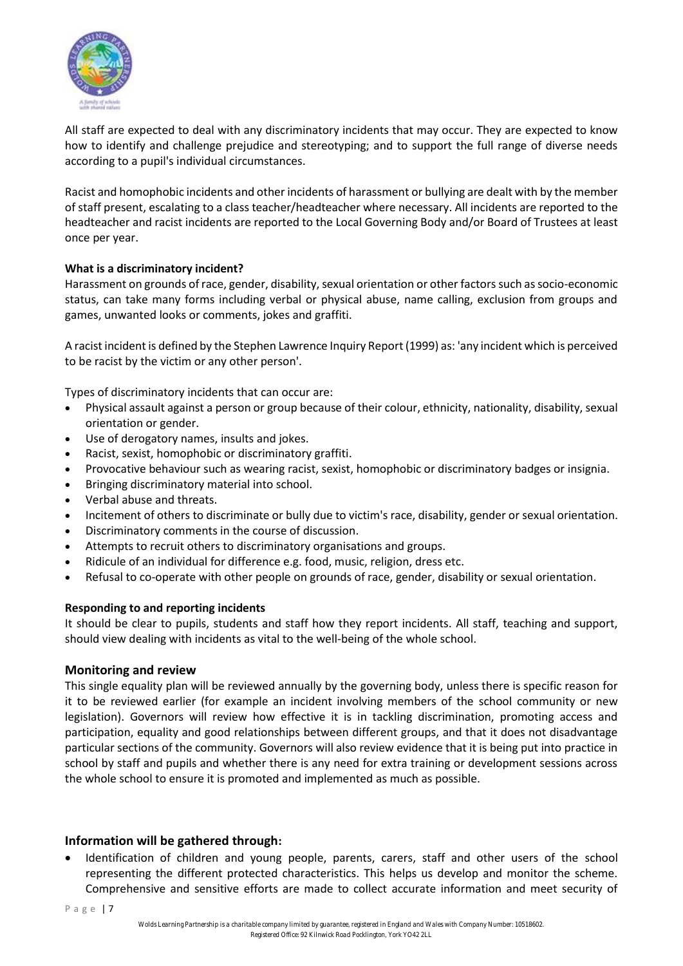

All staff are expected to deal with any discriminatory incidents that may occur. They are expected to know how to identify and challenge prejudice and stereotyping; and to support the full range of diverse needs according to a pupil's individual circumstances.

Racist and homophobic incidents and other incidents of harassment or bullying are dealt with by the member of staff present, escalating to a class teacher/headteacher where necessary. All incidents are reported to the headteacher and racist incidents are reported to the Local Governing Body and/or Board of Trustees at least once per year.

# **What is a discriminatory incident?**

Harassment on grounds of race, gender, disability, sexual orientation or other factors such as socio-economic status, can take many forms including verbal or physical abuse, name calling, exclusion from groups and games, unwanted looks or comments, jokes and graffiti.

A racist incident is defined by the Stephen Lawrence Inquiry Report (1999) as: 'any incident which is perceived to be racist by the victim or any other person'.

Types of discriminatory incidents that can occur are:

- Physical assault against a person or group because of their colour, ethnicity, nationality, disability, sexual orientation or gender.
- Use of derogatory names, insults and jokes.
- Racist, sexist, homophobic or discriminatory graffiti.
- Provocative behaviour such as wearing racist, sexist, homophobic or discriminatory badges or insignia.
- Bringing discriminatory material into school.
- Verbal abuse and threats.
- Incitement of others to discriminate or bully due to victim's race, disability, gender or sexual orientation.
- Discriminatory comments in the course of discussion.
- Attempts to recruit others to discriminatory organisations and groups.
- Ridicule of an individual for difference e.g. food, music, religion, dress etc.
- Refusal to co-operate with other people on grounds of race, gender, disability or sexual orientation.

#### **Responding to and reporting incidents**

It should be clear to pupils, students and staff how they report incidents. All staff, teaching and support, should view dealing with incidents as vital to the well-being of the whole school.

#### **Monitoring and review**

This single equality plan will be reviewed annually by the governing body, unless there is specific reason for it to be reviewed earlier (for example an incident involving members of the school community or new legislation). Governors will review how effective it is in tackling discrimination, promoting access and participation, equality and good relationships between different groups, and that it does not disadvantage particular sections of the community. Governors will also review evidence that it is being put into practice in school by staff and pupils and whether there is any need for extra training or development sessions across the whole school to ensure it is promoted and implemented as much as possible.

#### **Information will be gathered through:**

Identification of children and young people, parents, carers, staff and other users of the school representing the different protected characteristics. This helps us develop and monitor the scheme. Comprehensive and sensitive efforts are made to collect accurate information and meet security of